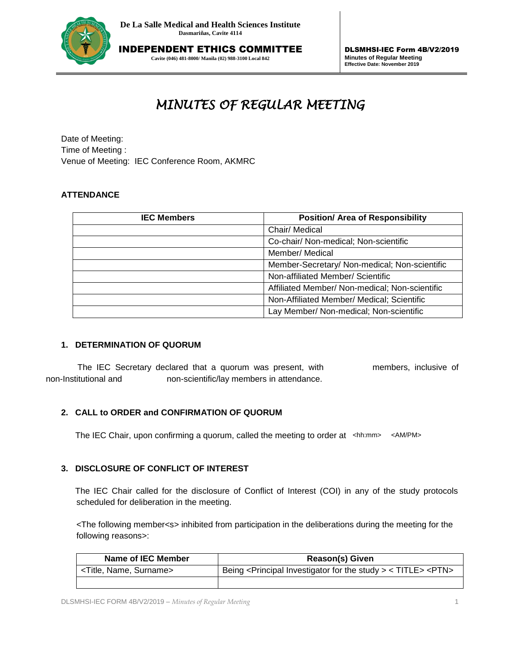

**Cavite (046) 481-8000/ Manila (02) 988-3100 Local 842**

DLSMHSI-IEC Form 4B/V2/2019 **Minutes of Regular Meeting Effective Date: November 2019**

# *MINUTES OF REGULAR MEETING*

Date of Meeting: Time of Meeting : Venue of Meeting: IEC Conference Room, AKMRC

# **ATTENDANCE**

| te of Meeting:<br>ne of Meeting:                                                                                           |                                                |
|----------------------------------------------------------------------------------------------------------------------------|------------------------------------------------|
| nue of Meeting: IEC Conference Room, AKMRC                                                                                 |                                                |
|                                                                                                                            |                                                |
| <b>TENDANCE</b>                                                                                                            |                                                |
| <b>IEC Members</b>                                                                                                         | <b>Position/ Area of Responsibility</b>        |
|                                                                                                                            | Chair/ Medical                                 |
|                                                                                                                            | Co-chair/ Non-medical; Non-scientific          |
|                                                                                                                            | Member/ Medical                                |
|                                                                                                                            | Member-Secretary/ Non-medical; Non-scientific  |
|                                                                                                                            | Non-affiliated Member/ Scientific              |
|                                                                                                                            | Affiliated Member/ Non-medical; Non-scientific |
|                                                                                                                            | Non-Affiliated Member/ Medical: Scientific     |
|                                                                                                                            | Lay Member/ Non-medical; Non-scientific        |
| <b>DETERMINATION OF QUORUM</b>                                                                                             |                                                |
| The IEC Secretary declared that a quorum was present, with<br>non-scientific/lay members in attendance.<br>stitutional and | members, inclusive of                          |
| <b>CALL to ORDER and CONFIRMATION OF QUORUM</b>                                                                            |                                                |
| The IEC Chair, upon confirming a quorum, called the meeting to order at <hh:mm></hh:mm>                                    | <am pm=""></am>                                |

### **1. DETERMINATION OF QUORUM**

 The IEC Secretary declared that a quorum was present, with members, inclusive of non-Institutional and non-scientific/lay members in attendance.

# **2. CALL to ORDER and CONFIRMATION OF QUORUM**

The IEC Chair, upon confirming a quorum, called the meeting to order at <hh:mm> <AM/PM>

# **3. DISCLOSURE OF CONFLICT OF INTEREST**

 The IEC Chair called for the disclosure of Conflict of Interest (COI) in any of the study protocols scheduled for deliberation in the meeting.

<The following member<s> inhibited from participation in the deliberations during the meeting for the following reasons>:

| Name of IEC Member                    | <b>Reason(s) Given</b>                                                                          |
|---------------------------------------|-------------------------------------------------------------------------------------------------|
| <title, name,="" surname=""></title,> | Being <principal for="" investigator="" study="" the=""> &lt; TITLE&gt; <ptn></ptn></principal> |
|                                       |                                                                                                 |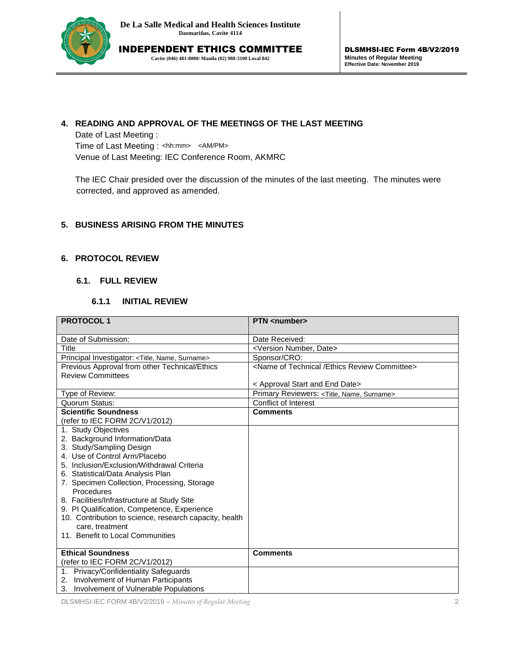

INDEPENDENT ETHICS COMMITTEE **Cavite (046) 481-8000/ Manila (02) 988-3100 Local 842**

# **4. READING AND APPROVAL OF THE MEETINGS OF THE LAST MEETING**

Date of Last Meeting : Time of Last Meeting : <hh:mm> <AM/PM> Venue of Last Meeting: IEC Conference Room, AKMRC

# **5. BUSINESS ARISING FROM THE MINUTES**

# **6. PROTOCOL REVIEW**

# **6.1. FULL REVIEW**

#### **6.1.1 INITIAL REVIEW**

| The IEC Chair presided over the discussion of the minutes of the last meeting. The minutes were<br>corrected, and approved as amended.<br>5. BUSINESS ARISING FROM THE MINUTES<br><b>6. PROTOCOL REVIEW</b><br>6.1. FULL REVIEW<br>6.1.1<br><b>INITIAL REVIEW</b><br><b>PROTOCOL1</b><br><b>PTN</b> <number><br/>Date of Submission:<br/>Date Received:<br/><b>Title</b><br/><version date="" number,=""><br/>Sponsor/CRO:<br/>Principal Investigator: <title, name,="" surname=""><br/><name committee="" ethics="" of="" review="" technical=""><br/>Previous Approval from other Technical/Ethics<br/><b>Review Committees</b><br/>&lt; Approval Start and End Date&gt;<br/>Type of Review:<br/>Primary Reviewers: <title, name,="" surname=""><br/>Quorum Status:<br/><b>Conflict of Interest</b><br/><b>Scientific Soundness</b><br/><b>Comments</b><br/>(refer to IEC FORM 2C/V1/2012)<br/>1. Study Objectives<br/>2. Background Information/Data<br/>3. Study/Sampling Design<br/>4. Use of Control Arm/Placebo<br/>5. Inclusion/Exclusion/Withdrawal Criteria<br/>6. Statistical/Data Analysis Plan<br/>7. Specimen Collection, Processing, Storage<br/>Procedures<br/>8. Facilities/Infrastructure at Study Site<br/>9. PI Qualification, Competence, Experience<br/>10. Contribution to science, research capacity, health<br/>care, treatment<br/>11. Benefit to Local Communities<br/><b>Ethical Soundness</b><br/><b>Comments</b><br/>(refer to IEC FORM 2C/V1/2012)<br/>Privacy/Confidentiality Safeguards<br/>1.<br/>Involvement of Human Participants<br/>2.<br/>3. Involvement of Vulnerable Populations</title,></name></title,></version></number> | Time of Last Meeting : <hh:mm> <am pm=""><br/>Venue of Last Meeting: IEC Conference Room, AKMRC</am></hh:mm> |  |
|-----------------------------------------------------------------------------------------------------------------------------------------------------------------------------------------------------------------------------------------------------------------------------------------------------------------------------------------------------------------------------------------------------------------------------------------------------------------------------------------------------------------------------------------------------------------------------------------------------------------------------------------------------------------------------------------------------------------------------------------------------------------------------------------------------------------------------------------------------------------------------------------------------------------------------------------------------------------------------------------------------------------------------------------------------------------------------------------------------------------------------------------------------------------------------------------------------------------------------------------------------------------------------------------------------------------------------------------------------------------------------------------------------------------------------------------------------------------------------------------------------------------------------------------------------------------------------------------------------------------------------------------------------------------------|--------------------------------------------------------------------------------------------------------------|--|
|                                                                                                                                                                                                                                                                                                                                                                                                                                                                                                                                                                                                                                                                                                                                                                                                                                                                                                                                                                                                                                                                                                                                                                                                                                                                                                                                                                                                                                                                                                                                                                                                                                                                       |                                                                                                              |  |
|                                                                                                                                                                                                                                                                                                                                                                                                                                                                                                                                                                                                                                                                                                                                                                                                                                                                                                                                                                                                                                                                                                                                                                                                                                                                                                                                                                                                                                                                                                                                                                                                                                                                       |                                                                                                              |  |
|                                                                                                                                                                                                                                                                                                                                                                                                                                                                                                                                                                                                                                                                                                                                                                                                                                                                                                                                                                                                                                                                                                                                                                                                                                                                                                                                                                                                                                                                                                                                                                                                                                                                       |                                                                                                              |  |
|                                                                                                                                                                                                                                                                                                                                                                                                                                                                                                                                                                                                                                                                                                                                                                                                                                                                                                                                                                                                                                                                                                                                                                                                                                                                                                                                                                                                                                                                                                                                                                                                                                                                       |                                                                                                              |  |
|                                                                                                                                                                                                                                                                                                                                                                                                                                                                                                                                                                                                                                                                                                                                                                                                                                                                                                                                                                                                                                                                                                                                                                                                                                                                                                                                                                                                                                                                                                                                                                                                                                                                       |                                                                                                              |  |
|                                                                                                                                                                                                                                                                                                                                                                                                                                                                                                                                                                                                                                                                                                                                                                                                                                                                                                                                                                                                                                                                                                                                                                                                                                                                                                                                                                                                                                                                                                                                                                                                                                                                       |                                                                                                              |  |
|                                                                                                                                                                                                                                                                                                                                                                                                                                                                                                                                                                                                                                                                                                                                                                                                                                                                                                                                                                                                                                                                                                                                                                                                                                                                                                                                                                                                                                                                                                                                                                                                                                                                       |                                                                                                              |  |
|                                                                                                                                                                                                                                                                                                                                                                                                                                                                                                                                                                                                                                                                                                                                                                                                                                                                                                                                                                                                                                                                                                                                                                                                                                                                                                                                                                                                                                                                                                                                                                                                                                                                       |                                                                                                              |  |
|                                                                                                                                                                                                                                                                                                                                                                                                                                                                                                                                                                                                                                                                                                                                                                                                                                                                                                                                                                                                                                                                                                                                                                                                                                                                                                                                                                                                                                                                                                                                                                                                                                                                       |                                                                                                              |  |
|                                                                                                                                                                                                                                                                                                                                                                                                                                                                                                                                                                                                                                                                                                                                                                                                                                                                                                                                                                                                                                                                                                                                                                                                                                                                                                                                                                                                                                                                                                                                                                                                                                                                       |                                                                                                              |  |
|                                                                                                                                                                                                                                                                                                                                                                                                                                                                                                                                                                                                                                                                                                                                                                                                                                                                                                                                                                                                                                                                                                                                                                                                                                                                                                                                                                                                                                                                                                                                                                                                                                                                       |                                                                                                              |  |
|                                                                                                                                                                                                                                                                                                                                                                                                                                                                                                                                                                                                                                                                                                                                                                                                                                                                                                                                                                                                                                                                                                                                                                                                                                                                                                                                                                                                                                                                                                                                                                                                                                                                       |                                                                                                              |  |
|                                                                                                                                                                                                                                                                                                                                                                                                                                                                                                                                                                                                                                                                                                                                                                                                                                                                                                                                                                                                                                                                                                                                                                                                                                                                                                                                                                                                                                                                                                                                                                                                                                                                       |                                                                                                              |  |
|                                                                                                                                                                                                                                                                                                                                                                                                                                                                                                                                                                                                                                                                                                                                                                                                                                                                                                                                                                                                                                                                                                                                                                                                                                                                                                                                                                                                                                                                                                                                                                                                                                                                       |                                                                                                              |  |
|                                                                                                                                                                                                                                                                                                                                                                                                                                                                                                                                                                                                                                                                                                                                                                                                                                                                                                                                                                                                                                                                                                                                                                                                                                                                                                                                                                                                                                                                                                                                                                                                                                                                       |                                                                                                              |  |
|                                                                                                                                                                                                                                                                                                                                                                                                                                                                                                                                                                                                                                                                                                                                                                                                                                                                                                                                                                                                                                                                                                                                                                                                                                                                                                                                                                                                                                                                                                                                                                                                                                                                       |                                                                                                              |  |
|                                                                                                                                                                                                                                                                                                                                                                                                                                                                                                                                                                                                                                                                                                                                                                                                                                                                                                                                                                                                                                                                                                                                                                                                                                                                                                                                                                                                                                                                                                                                                                                                                                                                       |                                                                                                              |  |
|                                                                                                                                                                                                                                                                                                                                                                                                                                                                                                                                                                                                                                                                                                                                                                                                                                                                                                                                                                                                                                                                                                                                                                                                                                                                                                                                                                                                                                                                                                                                                                                                                                                                       |                                                                                                              |  |
|                                                                                                                                                                                                                                                                                                                                                                                                                                                                                                                                                                                                                                                                                                                                                                                                                                                                                                                                                                                                                                                                                                                                                                                                                                                                                                                                                                                                                                                                                                                                                                                                                                                                       |                                                                                                              |  |
|                                                                                                                                                                                                                                                                                                                                                                                                                                                                                                                                                                                                                                                                                                                                                                                                                                                                                                                                                                                                                                                                                                                                                                                                                                                                                                                                                                                                                                                                                                                                                                                                                                                                       |                                                                                                              |  |
|                                                                                                                                                                                                                                                                                                                                                                                                                                                                                                                                                                                                                                                                                                                                                                                                                                                                                                                                                                                                                                                                                                                                                                                                                                                                                                                                                                                                                                                                                                                                                                                                                                                                       |                                                                                                              |  |
|                                                                                                                                                                                                                                                                                                                                                                                                                                                                                                                                                                                                                                                                                                                                                                                                                                                                                                                                                                                                                                                                                                                                                                                                                                                                                                                                                                                                                                                                                                                                                                                                                                                                       |                                                                                                              |  |
|                                                                                                                                                                                                                                                                                                                                                                                                                                                                                                                                                                                                                                                                                                                                                                                                                                                                                                                                                                                                                                                                                                                                                                                                                                                                                                                                                                                                                                                                                                                                                                                                                                                                       |                                                                                                              |  |
|                                                                                                                                                                                                                                                                                                                                                                                                                                                                                                                                                                                                                                                                                                                                                                                                                                                                                                                                                                                                                                                                                                                                                                                                                                                                                                                                                                                                                                                                                                                                                                                                                                                                       |                                                                                                              |  |
|                                                                                                                                                                                                                                                                                                                                                                                                                                                                                                                                                                                                                                                                                                                                                                                                                                                                                                                                                                                                                                                                                                                                                                                                                                                                                                                                                                                                                                                                                                                                                                                                                                                                       |                                                                                                              |  |
|                                                                                                                                                                                                                                                                                                                                                                                                                                                                                                                                                                                                                                                                                                                                                                                                                                                                                                                                                                                                                                                                                                                                                                                                                                                                                                                                                                                                                                                                                                                                                                                                                                                                       |                                                                                                              |  |
|                                                                                                                                                                                                                                                                                                                                                                                                                                                                                                                                                                                                                                                                                                                                                                                                                                                                                                                                                                                                                                                                                                                                                                                                                                                                                                                                                                                                                                                                                                                                                                                                                                                                       |                                                                                                              |  |
|                                                                                                                                                                                                                                                                                                                                                                                                                                                                                                                                                                                                                                                                                                                                                                                                                                                                                                                                                                                                                                                                                                                                                                                                                                                                                                                                                                                                                                                                                                                                                                                                                                                                       |                                                                                                              |  |
|                                                                                                                                                                                                                                                                                                                                                                                                                                                                                                                                                                                                                                                                                                                                                                                                                                                                                                                                                                                                                                                                                                                                                                                                                                                                                                                                                                                                                                                                                                                                                                                                                                                                       |                                                                                                              |  |
|                                                                                                                                                                                                                                                                                                                                                                                                                                                                                                                                                                                                                                                                                                                                                                                                                                                                                                                                                                                                                                                                                                                                                                                                                                                                                                                                                                                                                                                                                                                                                                                                                                                                       |                                                                                                              |  |
|                                                                                                                                                                                                                                                                                                                                                                                                                                                                                                                                                                                                                                                                                                                                                                                                                                                                                                                                                                                                                                                                                                                                                                                                                                                                                                                                                                                                                                                                                                                                                                                                                                                                       |                                                                                                              |  |
|                                                                                                                                                                                                                                                                                                                                                                                                                                                                                                                                                                                                                                                                                                                                                                                                                                                                                                                                                                                                                                                                                                                                                                                                                                                                                                                                                                                                                                                                                                                                                                                                                                                                       |                                                                                                              |  |
|                                                                                                                                                                                                                                                                                                                                                                                                                                                                                                                                                                                                                                                                                                                                                                                                                                                                                                                                                                                                                                                                                                                                                                                                                                                                                                                                                                                                                                                                                                                                                                                                                                                                       |                                                                                                              |  |
|                                                                                                                                                                                                                                                                                                                                                                                                                                                                                                                                                                                                                                                                                                                                                                                                                                                                                                                                                                                                                                                                                                                                                                                                                                                                                                                                                                                                                                                                                                                                                                                                                                                                       |                                                                                                              |  |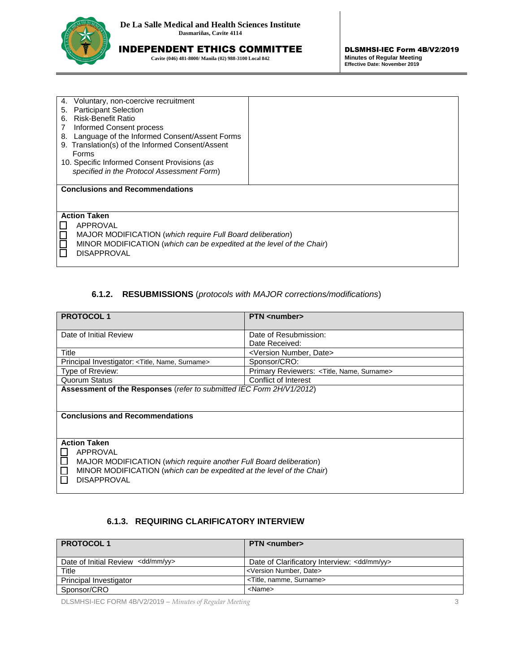

**Cavite (046) 481-8000/ Manila (02) 988-3100 Local 842**

| Voluntary, non-coercive recruitment<br>4.                                                   |  |
|---------------------------------------------------------------------------------------------|--|
| <b>Participant Selection</b><br>5.                                                          |  |
| <b>Risk-Benefit Ratio</b><br>6.                                                             |  |
| Informed Consent process                                                                    |  |
| Language of the Informed Consent/Assent Forms<br>8.                                         |  |
| 9. Translation(s) of the Informed Consent/Assent                                            |  |
| Forms                                                                                       |  |
| 10. Specific Informed Consent Provisions (as                                                |  |
| specified in the Protocol Assessment Form)                                                  |  |
|                                                                                             |  |
|                                                                                             |  |
| <b>Conclusions and Recommendations</b>                                                      |  |
|                                                                                             |  |
|                                                                                             |  |
| <b>Action Taken</b>                                                                         |  |
| APPROVAL                                                                                    |  |
|                                                                                             |  |
| MAJOR MODIFICATION (which require Full Board deliberation)                                  |  |
| MINOR MODIFICATION (which can be expedited at the level of the Chair)<br><b>DISAPPROVAL</b> |  |

# **6.1.2. RESUBMISSIONS** (*protocols with MAJOR corrections/modifications*)

| <b>PROTOCOL1</b>                                                                                                                                                                                               | <b>PTN</b> <number></number>                 |  |
|----------------------------------------------------------------------------------------------------------------------------------------------------------------------------------------------------------------|----------------------------------------------|--|
| Date of Initial Review                                                                                                                                                                                         | Date of Resubmission:                        |  |
|                                                                                                                                                                                                                | Date Received:                               |  |
| Title                                                                                                                                                                                                          | <version date="" number,=""></version>       |  |
| Principal Investigator: < Title, Name, Surname>                                                                                                                                                                | Sponsor/CRO:                                 |  |
| Type of Rreview:                                                                                                                                                                                               | Primary Reviewers: < Title, Name, Surname>   |  |
| <b>Quorum Status</b>                                                                                                                                                                                           | Conflict of Interest                         |  |
| Assessment of the Responses (refer to submitted IEC Form 2H/V1/2012)                                                                                                                                           |                                              |  |
| <b>Conclusions and Recommendations</b>                                                                                                                                                                         |                                              |  |
| <b>Action Taken</b><br>APPROVAL<br>П<br>MAJOR MODIFICATION (which require another Full Board deliberation)<br>MINOR MODIFICATION (which can be expedited at the level of the Chair)<br>П<br><b>DISAPPROVAL</b> |                                              |  |
| 6.1.3. REQUIRING CLARIFICATORY INTERVIEW                                                                                                                                                                       |                                              |  |
| <b>PROTOCOL1</b>                                                                                                                                                                                               | <b>PTN</b> <number></number>                 |  |
| Date of Initial Review <dd mm="" yy=""></dd>                                                                                                                                                                   | Date of Clarificatory Interview: < dd/mm/yy> |  |
| Title                                                                                                                                                                                                          | <version date="" number,=""></version>       |  |
| Principal Investigator                                                                                                                                                                                         | <title, namme,="" surname=""></title,>       |  |
| Sponsor/CRO                                                                                                                                                                                                    | <name></name>                                |  |

# **6.1.3. REQUIRING CLARIFICATORY INTERVIEW**

| <b>PROTOCOL1</b>                             | <b>PTN</b> <number></number>                           |
|----------------------------------------------|--------------------------------------------------------|
| Date of Initial Review <dd mm="" yy=""></dd> | Date of Clarificatory Interview: <dd mm="" yy=""></dd> |
| Title                                        | <version date="" number,=""></version>                 |
| Principal Investigator                       | <title, namme,="" surname=""></title,>                 |
| Sponsor/CRO                                  | <name></name>                                          |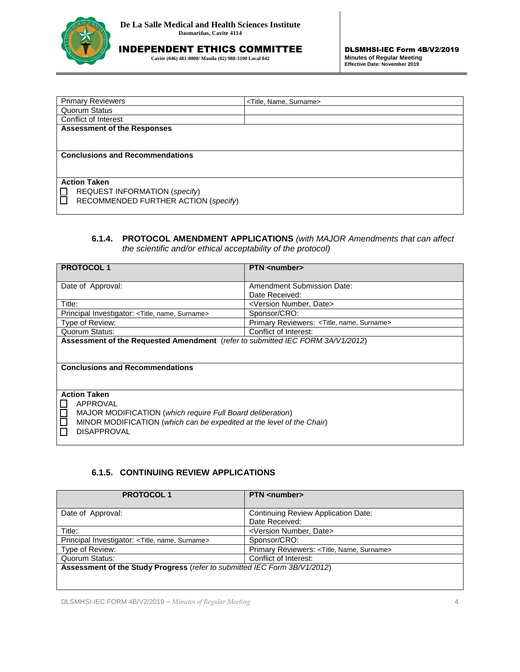

**Cavite (046) 481-8000/ Manila (02) 988-3100 Local 842**

| <b>Primary Reviewers</b>               | <title, name,="" surname=""></title,> |
|----------------------------------------|---------------------------------------|
| <b>Quorum Status</b>                   |                                       |
| Conflict of Interest                   |                                       |
| <b>Assessment of the Responses</b>     |                                       |
|                                        |                                       |
|                                        |                                       |
| <b>Conclusions and Recommendations</b> |                                       |
|                                        |                                       |
|                                        |                                       |
| <b>Action Taken</b>                    |                                       |
| REQUEST INFORMATION (specify)          |                                       |
| RECOMMENDED FURTHER ACTION (specify)   |                                       |
|                                        |                                       |

# **6.1.4. PROTOCOL AMENDMENT APPLICATIONS** *(with MAJOR Amendments that can affect the scientific and/or ethical acceptability of the protocol)*

| <b>PROTOCOL1</b>                                                               | <b>PTN</b> <number></number>                             |
|--------------------------------------------------------------------------------|----------------------------------------------------------|
|                                                                                |                                                          |
| Date of Approval:                                                              | Amendment Submission Date:                               |
|                                                                                | Date Received:                                           |
| Title:                                                                         | <version date="" number,=""></version>                   |
| Principal Investigator: <title, name,="" surname=""></title,>                  | Sponsor/CRO:                                             |
| Type of Review:                                                                | Primary Reviewers: <title, name,="" surname=""></title,> |
| Quorum Status:                                                                 | Conflict of Interest:                                    |
| Assessment of the Requested Amendment (refer to submitted IEC FORM 3A/V1/2012) |                                                          |
|                                                                                |                                                          |
|                                                                                |                                                          |
| <b>Conclusions and Recommendations</b>                                         |                                                          |
|                                                                                |                                                          |
|                                                                                |                                                          |
| <b>Action Taken</b>                                                            |                                                          |
| APPROVAL                                                                       |                                                          |
| MAJOR MODIFICATION (which require Full Board deliberation)                     |                                                          |
| MINOR MODIFICATION (which can be expedited at the level of the Chair)          |                                                          |
| <b>DISAPPROVAL</b>                                                             |                                                          |
|                                                                                |                                                          |

# **6.1.5. CONTINUING REVIEW APPLICATIONS**

| <b>PROTOCOL1</b>                                                          | <b>PTN</b> <number></number>                             |
|---------------------------------------------------------------------------|----------------------------------------------------------|
| Date of Approval:                                                         | Continuing Review Application Date:<br>Date Received:    |
| Title:                                                                    | <version date="" number,=""></version>                   |
| Principal Investigator: <title, name,="" surname=""></title,>             | Sponsor/CRO:                                             |
| Type of Review:                                                           | Primary Reviewers: <title, name,="" surname=""></title,> |
| Quorum Status:                                                            | Conflict of Interest:                                    |
| Assessment of the Study Progress (refer to submitted IEC Form 3B/V1/2012) |                                                          |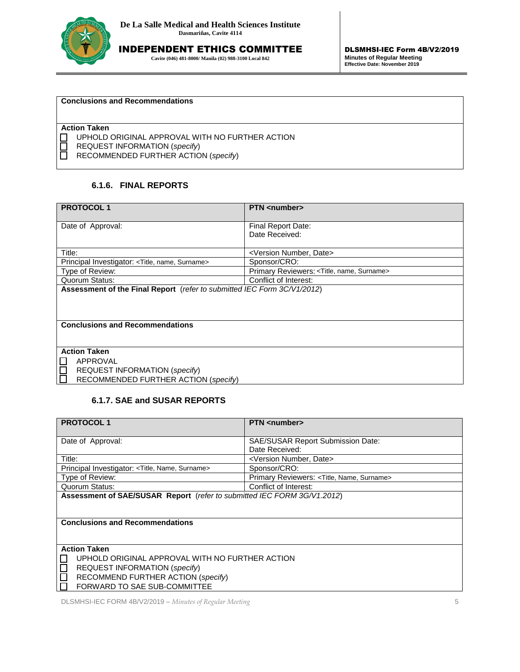

**Cavite (046) 481-8000/ Manila (02) 988-3100 Local 842**

#### **Conclusions and Recommendations**

**Action Taken**

**UPHOLD ORIGINAL APPROVAL WITH NO FURTHER ACTION** 

REQUEST INFORMATION (*specify*)

RECOMMENDED FURTHER ACTION (*specify*)

### **6.1.6. FINAL REPORTS**

| <b>PROTOCOL1</b>                                                        | <b>PTN</b> <number></number>               |
|-------------------------------------------------------------------------|--------------------------------------------|
| Date of Approval:                                                       | Final Report Date:                         |
|                                                                         | Date Received:                             |
| Title:                                                                  | <version date="" number,=""></version>     |
| Principal Investigator: < Title, name, Surname>                         | Sponsor/CRO:                               |
| Type of Review:                                                         | Primary Reviewers: < Title, name, Surname> |
| Quorum Status:                                                          | Conflict of Interest:                      |
| Assessment of the Final Report (refer to submitted IEC Form 3C/V1/2012) |                                            |
|                                                                         |                                            |
|                                                                         |                                            |
| <b>Conclusions and Recommendations</b>                                  |                                            |
|                                                                         |                                            |
|                                                                         |                                            |
| <b>Action Taken</b>                                                     |                                            |
| APPROVAL                                                                |                                            |
| <b>REQUEST INFORMATION (specify)</b>                                    |                                            |
| RECOMMENDED FURTHER ACTION (specify)                                    |                                            |

#### **6.1.7. SAE and SUSAR REPORTS**

| <b>PROTOCOL1</b>                                                        | <b>PTN</b> <number></number>               |
|-------------------------------------------------------------------------|--------------------------------------------|
|                                                                         |                                            |
| Date of Approval:                                                       | <b>SAE/SUSAR Report Submission Date:</b>   |
|                                                                         | Date Received:                             |
| Title:                                                                  | <version date="" number,=""></version>     |
| Principal Investigator: < Title, Name, Surname>                         | Sponsor/CRO:                               |
| Type of Review:                                                         | Primary Reviewers: < Title, Name, Surname> |
| Quorum Status:                                                          | Conflict of Interest:                      |
| Assessment of SAE/SUSAR Report (refer to submitted IEC FORM 3G/V1.2012) |                                            |
|                                                                         |                                            |
|                                                                         |                                            |
| <b>Conclusions and Recommendations</b>                                  |                                            |
|                                                                         |                                            |
|                                                                         |                                            |
| <b>Action Taken</b>                                                     |                                            |
| UPHOLD ORIGINAL APPROVAL WITH NO FURTHER ACTION                         |                                            |
| REQUEST INFORMATION (specify)                                           |                                            |
| RECOMMEND FURTHER ACTION (specify)                                      |                                            |
| FORWARD TO SAE SUB-COMMITTEE                                            |                                            |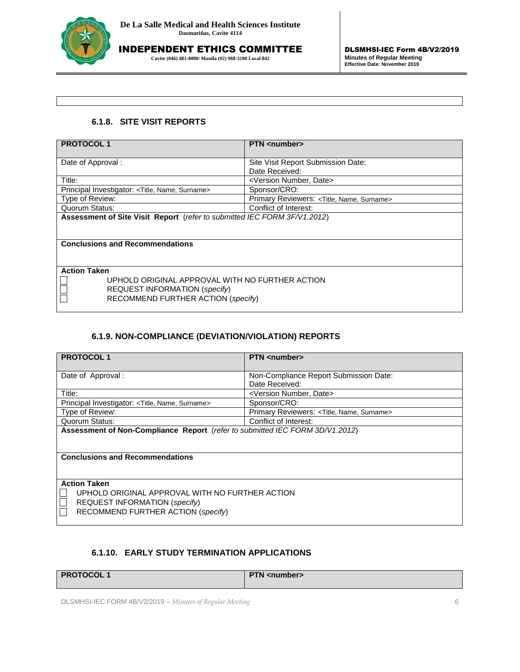

**Cavite (046) 481-8000/ Manila (02) 988-3100 Local 842**

# **6.1.8. SITE VISIT REPORTS**

| <b>PROTOCOL1</b>                                                           | <b>PTN</b> <number></number>               |
|----------------------------------------------------------------------------|--------------------------------------------|
|                                                                            |                                            |
| Date of Approval:                                                          | Site Visit Report Submission Date:         |
|                                                                            | Date Received:                             |
| Title:                                                                     | <version date="" number,=""></version>     |
| Principal Investigator: <title, name,="" surname=""></title,>              | Sponsor/CRO:                               |
| Type of Review:                                                            | Primary Reviewers: < Title, Name, Surname> |
| Quorum Status:                                                             | Conflict of Interest:                      |
| Assessment of Site Visit Report (refer to submitted IEC FORM 3F/V1.2012)   |                                            |
|                                                                            |                                            |
|                                                                            |                                            |
| <b>Conclusions and Recommendations</b>                                     |                                            |
|                                                                            |                                            |
|                                                                            |                                            |
| <b>Action Taken</b>                                                        |                                            |
| UPHOLD ORIGINAL APPROVAL WITH NO FURTHER ACTION                            |                                            |
|                                                                            |                                            |
|                                                                            |                                            |
| <b>REQUEST INFORMATION (specify)</b><br>RECOMMEND FURTHER ACTION (specify) |                                            |

# **6.1.9. NON-COMPLIANCE (DEVIATION/VIOLATION) REPORTS**

| <b>PROTOCOL1</b>                                                             | <b>PTN</b> <number></number>               |  |
|------------------------------------------------------------------------------|--------------------------------------------|--|
| Date of Approval:                                                            | Non-Compliance Report Submission Date:     |  |
|                                                                              | Date Received:                             |  |
| Title:                                                                       | <version date="" number,=""></version>     |  |
| Principal Investigator: < Title, Name, Surname>                              | Sponsor/CRO:                               |  |
| Type of Review:                                                              | Primary Reviewers: < Title, Name, Surname> |  |
| Quorum Status:                                                               | Conflict of Interest:                      |  |
| Assessment of Non-Compliance Report (refer to submitted IEC FORM 3D/V1.2012) |                                            |  |
|                                                                              |                                            |  |
|                                                                              |                                            |  |
| <b>Conclusions and Recommendations</b>                                       |                                            |  |
|                                                                              |                                            |  |
|                                                                              |                                            |  |
| <b>Action Taken</b>                                                          |                                            |  |
| UPHOLD ORIGINAL APPROVAL WITH NO FURTHER ACTION                              |                                            |  |
| REQUEST INFORMATION (specify)                                                |                                            |  |
| RECOMMEND FURTHER ACTION (specify)                                           |                                            |  |
|                                                                              |                                            |  |

# **6.1.10. EARLY STUDY TERMINATION APPLICATIONS**

| PROTOCOL | <b>PTN</b> <number></number> |
|----------|------------------------------|
|          |                              |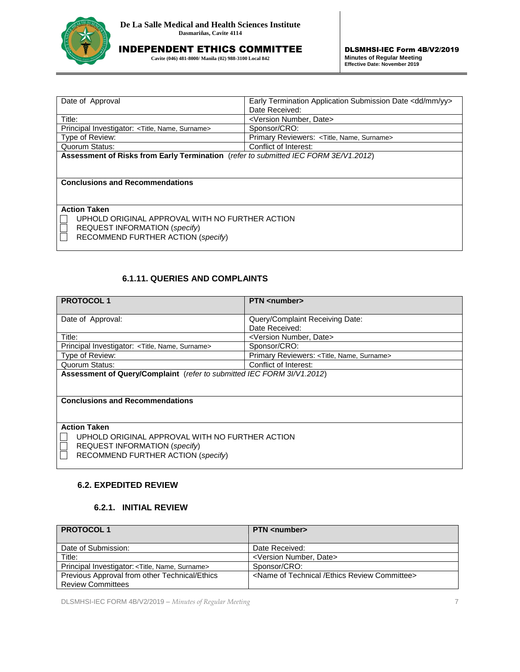

**Cavite (046) 481-8000/ Manila (02) 988-3100 Local 842**

| Date of Approval                                                                    | Early Termination Application Submission Date <dd mm="" yy=""></dd> |  |
|-------------------------------------------------------------------------------------|---------------------------------------------------------------------|--|
|                                                                                     | Date Received:                                                      |  |
| Title:                                                                              | <version date="" number,=""></version>                              |  |
| Principal Investigator: <title, name,="" surname=""></title,>                       | Sponsor/CRO:                                                        |  |
| Type of Review:                                                                     | Primary Reviewers: <title, name,="" surname=""></title,>            |  |
| Quorum Status:                                                                      | Conflict of Interest:                                               |  |
| Assessment of Risks from Early Termination (refer to submitted IEC FORM 3E/V1.2012) |                                                                     |  |
|                                                                                     |                                                                     |  |
|                                                                                     |                                                                     |  |
| <b>Conclusions and Recommendations</b>                                              |                                                                     |  |
|                                                                                     |                                                                     |  |
|                                                                                     |                                                                     |  |
| <b>Action Taken</b>                                                                 |                                                                     |  |
| UPHOLD ORIGINAL APPROVAL WITH NO FURTHER ACTION                                     |                                                                     |  |
| REQUEST INFORMATION (specify)                                                       |                                                                     |  |
| RECOMMEND FURTHER ACTION (specify)                                                  |                                                                     |  |
|                                                                                     |                                                                     |  |

# **6.1.11. QUERIES AND COMPLAINTS**

| Principal Investigator: <title, name,="" surname=""></title,>                                                                                           | Sponsor/CRO:                               |  |
|---------------------------------------------------------------------------------------------------------------------------------------------------------|--------------------------------------------|--|
| Type of Review:                                                                                                                                         | Primary Reviewers: < Title, Name, Surname> |  |
| Quorum Status:                                                                                                                                          | Conflict of Interest:                      |  |
| Assessment of Risks from Early Termination (refer to submitted IEC FORM 3E/V1.2012)                                                                     |                                            |  |
| <b>Conclusions and Recommendations</b>                                                                                                                  |                                            |  |
| <b>Action Taken</b><br>UPHOLD ORIGINAL APPROVAL WITH NO FURTHER ACTION<br>REQUEST INFORMATION (specify)<br>$\Box$<br>RECOMMEND FURTHER ACTION (specify) |                                            |  |
| <b>6.1.11. QUERIES AND COMPLAINTS</b>                                                                                                                   |                                            |  |
| <b>PROTOCOL1</b>                                                                                                                                        | <b>PTN</b> <number></number>               |  |
| Date of Approval:                                                                                                                                       | Query/Complaint Receiving Date:            |  |
|                                                                                                                                                         | Date Received:                             |  |
| Title:                                                                                                                                                  | <version date="" number,=""></version>     |  |
| Principal Investigator: < Title, Name, Surname>                                                                                                         | Sponsor/CRO:                               |  |
| Type of Review:                                                                                                                                         | Primary Reviewers: < Title, Name, Surname> |  |
| Quorum Status:                                                                                                                                          | Conflict of Interest:                      |  |
| Assessment of Query/Complaint (refer to submitted IEC FORM 3I/V1.2012)                                                                                  |                                            |  |
| <b>Conclusions and Recommendations</b>                                                                                                                  |                                            |  |
| <b>Action Taken</b><br>UPHOLD ORIGINAL APPROVAL WITH NO FURTHER ACTION<br>REQUEST INFORMATION (specify)<br>RECOMMEND FURTHER ACTION (specify)           |                                            |  |
| <b>6.2. EXPEDITED REVIEW</b>                                                                                                                            |                                            |  |
| 6.2.1. INITIAL REVIEW                                                                                                                                   |                                            |  |
| <b>PROTOCOL1</b>                                                                                                                                        | <b>PTN</b> <number></number>               |  |
| Date of Submission:                                                                                                                                     | Date Received:                             |  |
| Title:                                                                                                                                                  | <version date="" number,=""></version>     |  |
| Principal Investigator: < Title, Name, Surname>                                                                                                         | Sponsor/CRO:                               |  |

# **6.2. EXPEDITED REVIEW**

# **6.2.1. INITIAL REVIEW**

| <b>PROTOCOL1</b>                                              | <b>PTN</b> <number></number>                                      |
|---------------------------------------------------------------|-------------------------------------------------------------------|
|                                                               |                                                                   |
| Date of Submission:                                           | Date Received:                                                    |
| Title:                                                        | <version date="" number,=""></version>                            |
| Principal Investigator: <title, name,="" surname=""></title,> | Sponsor/CRO:                                                      |
| Previous Approval from other Technical/Ethics                 | <name committee="" ethics="" of="" review="" technical=""></name> |
| <b>Review Committees</b>                                      |                                                                   |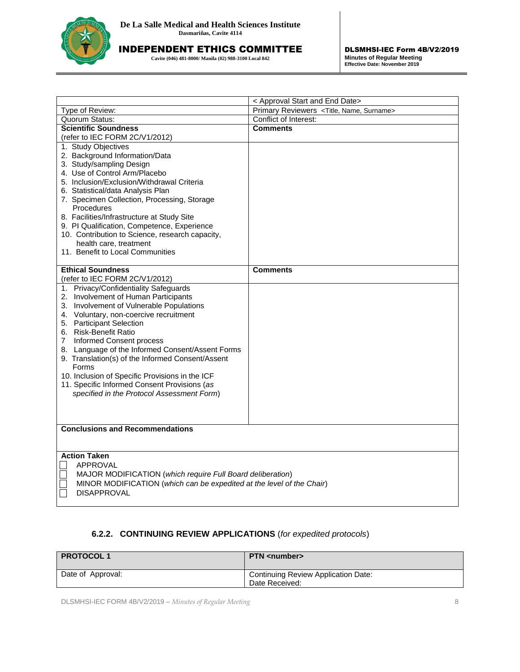

**Cavite (046) 481-8000/ Manila (02) 988-3100 Local 842**

|                                                                                                                                                                                                                                                                                                                                                                                                                                                                                                                                                                                                                      | < Approval Start and End Date>                          |
|----------------------------------------------------------------------------------------------------------------------------------------------------------------------------------------------------------------------------------------------------------------------------------------------------------------------------------------------------------------------------------------------------------------------------------------------------------------------------------------------------------------------------------------------------------------------------------------------------------------------|---------------------------------------------------------|
| Type of Review:                                                                                                                                                                                                                                                                                                                                                                                                                                                                                                                                                                                                      | Primary Reviewers <title, name,="" surname=""></title,> |
| Quorum Status:                                                                                                                                                                                                                                                                                                                                                                                                                                                                                                                                                                                                       | Conflict of Interest:                                   |
| <b>Scientific Soundness</b>                                                                                                                                                                                                                                                                                                                                                                                                                                                                                                                                                                                          | <b>Comments</b>                                         |
| (refer to IEC FORM 2C/V1/2012)                                                                                                                                                                                                                                                                                                                                                                                                                                                                                                                                                                                       |                                                         |
| 1. Study Objectives<br>2. Background Information/Data<br>3. Study/sampling Design<br>4. Use of Control Arm/Placebo<br>5. Inclusion/Exclusion/Withdrawal Criteria<br>6. Statistical/data Analysis Plan<br>7. Specimen Collection, Processing, Storage<br>Procedures<br>8. Facilities/Infrastructure at Study Site<br>9. PI Qualification, Competence, Experience<br>10. Contribution to Science, research capacity,<br>health care, treatment<br>11. Benefit to Local Communities                                                                                                                                     |                                                         |
| <b>Ethical Soundness</b>                                                                                                                                                                                                                                                                                                                                                                                                                                                                                                                                                                                             | <b>Comments</b>                                         |
| (refer to IEC FORM 2C/V1/2012)<br>1. Privacy/Confidentiality Safeguards<br>2. Involvement of Human Participants<br>3. Involvement of Vulnerable Populations<br>4. Voluntary, non-coercive recruitment<br>5. Participant Selection<br>6. Risk-Benefit Ratio<br>$\overline{7}$<br>Informed Consent process<br>8. Language of the Informed Consent/Assent Forms<br>9. Translation(s) of the Informed Consent/Assent<br>Forms<br>10. Inclusion of Specific Provisions in the ICF<br>11. Specific Informed Consent Provisions (as<br>specified in the Protocol Assessment Form)<br><b>Conclusions and Recommendations</b> |                                                         |
|                                                                                                                                                                                                                                                                                                                                                                                                                                                                                                                                                                                                                      |                                                         |
| <b>Action Taken</b><br>APPROVAL<br>MAJOR MODIFICATION (which require Full Board deliberation)<br>MINOR MODIFICATION (which can be expedited at the level of the Chair)<br><b>DISAPPROVAL</b>                                                                                                                                                                                                                                                                                                                                                                                                                         |                                                         |

# **6.2.2. CONTINUING REVIEW APPLICATIONS** (*for expedited protocols*)

| <b>PROTOCOL1</b>  | <b>PTN</b> <number></number>                          |
|-------------------|-------------------------------------------------------|
| Date of Approval: | Continuing Review Application Date:<br>Date Received: |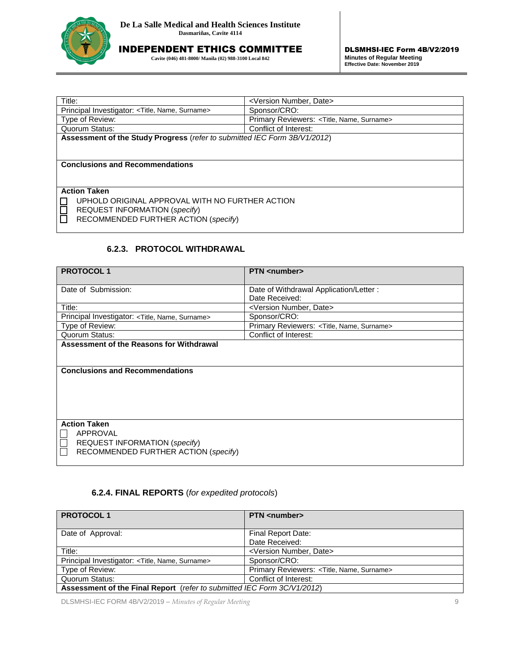

**Cavite (046) 481-8000/ Manila (02) 988-3100 Local 842**

| Title:                                                                    | <version date="" number,=""></version>     |  |
|---------------------------------------------------------------------------|--------------------------------------------|--|
| Principal Investigator: <title, name,="" surname=""></title,>             | Sponsor/CRO:                               |  |
| Type of Review:                                                           | Primary Reviewers: < Title, Name, Surname> |  |
| Quorum Status:                                                            | Conflict of Interest:                      |  |
| Assessment of the Study Progress (refer to submitted IEC Form 3B/V1/2012) |                                            |  |
|                                                                           |                                            |  |
|                                                                           |                                            |  |
| <b>Conclusions and Recommendations</b>                                    |                                            |  |
|                                                                           |                                            |  |
| <b>Action Taken</b>                                                       |                                            |  |
|                                                                           |                                            |  |
| UPHOLD ORIGINAL APPROVAL WITH NO FURTHER ACTION                           |                                            |  |
| <b>REQUEST INFORMATION (specify)</b>                                      |                                            |  |
| RECOMMENDED FURTHER ACTION (specify)                                      |                                            |  |
|                                                                           |                                            |  |
|                                                                           |                                            |  |

# **6.2.3. PROTOCOL WITHDRAWAL**

| Principal Investigator: < Title, Name, Surname>                           | Sponsor/CRO:                               |  |
|---------------------------------------------------------------------------|--------------------------------------------|--|
| Type of Review:                                                           | Primary Reviewers: < Title, Name, Surname> |  |
| Quorum Status:                                                            | Conflict of Interest:                      |  |
| Assessment of the Study Progress (refer to submitted IEC Form 3B/V1/2012) |                                            |  |
|                                                                           |                                            |  |
| <b>Conclusions and Recommendations</b>                                    |                                            |  |
|                                                                           |                                            |  |
|                                                                           |                                            |  |
| <b>Action Taken</b>                                                       |                                            |  |
| UPHOLD ORIGINAL APPROVAL WITH NO FURTHER ACTION                           |                                            |  |
| REQUEST INFORMATION (specify)                                             |                                            |  |
| RECOMMENDED FURTHER ACTION (specify)                                      |                                            |  |
|                                                                           |                                            |  |
|                                                                           |                                            |  |
| 6.2.3. PROTOCOL WITHDRAWAL                                                |                                            |  |
|                                                                           |                                            |  |
| <b>PROTOCOL1</b>                                                          | <b>PTN</b> <number></number>               |  |
| Date of Submission:                                                       | Date of Withdrawal Application/Letter :    |  |
|                                                                           | Date Received:                             |  |
| Title:                                                                    | <version date="" number,=""></version>     |  |
| Principal Investigator: < Title, Name, Surname>                           | Sponsor/CRO:                               |  |
| Type of Review:                                                           | Primary Reviewers: < Title, Name, Surname> |  |
| Quorum Status:                                                            | Conflict of Interest:                      |  |
| <b>Assessment of the Reasons for Withdrawal</b>                           |                                            |  |
|                                                                           |                                            |  |
|                                                                           |                                            |  |
| <b>Conclusions and Recommendations</b>                                    |                                            |  |
|                                                                           |                                            |  |
|                                                                           |                                            |  |
|                                                                           |                                            |  |
|                                                                           |                                            |  |
| <b>Action Taken</b>                                                       |                                            |  |
| <b>APPROVAL</b>                                                           |                                            |  |
| REQUEST INFORMATION (specify)                                             |                                            |  |
| RECOMMENDED FURTHER ACTION (specify)                                      |                                            |  |
|                                                                           |                                            |  |
|                                                                           |                                            |  |
|                                                                           |                                            |  |
| 6.2.4. FINAL REPORTS (for expedited protocols)                            |                                            |  |
|                                                                           |                                            |  |
| <b>PROTOCOL1</b>                                                          | <b>PTN</b> <number></number>               |  |
|                                                                           |                                            |  |
| Date of Approval:                                                         | Final Report Date:                         |  |
|                                                                           | Date Received:                             |  |
| Title:                                                                    | <version date="" number,=""></version>     |  |
| Principal Investigator: < Title, Name, Surname>                           | Sponsor/CRO:                               |  |

# **6.2.4. FINAL REPORTS** (*for expedited protocols*)

| <b>PROTOCOL1</b>                                                        | <b>PTN</b> <number></number>                             |
|-------------------------------------------------------------------------|----------------------------------------------------------|
| Date of Approval:                                                       | Final Report Date:                                       |
| Title:                                                                  | Date Received:<br><version date="" number,=""></version> |
| Principal Investigator: <title, name,="" surname=""></title,>           | Sponsor/CRO:                                             |
| Type of Review:                                                         | Primary Reviewers: < Title, Name, Surname>               |
| Quorum Status:                                                          | Conflict of Interest:                                    |
| Assessment of the Final Report (refer to submitted IEC Form 3C/V1/2012) |                                                          |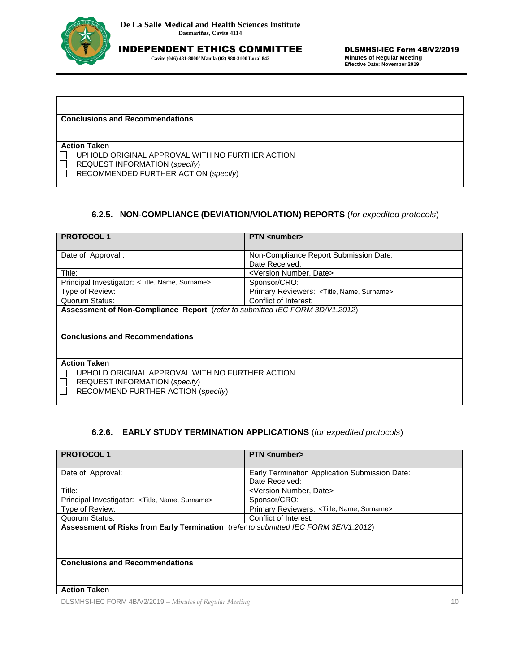

**Cavite (046) 481-8000/ Manila (02) 988-3100 Local 842**

#### **Conclusions and Recommendations**

#### **Action Taken**

UPHOLD ORIGINAL APPROVAL WITH NO FURTHER ACTION

REQUEST INFORMATION (*specify*)

RECOMMENDED FURTHER ACTION (*specify*)

# **6.2.5. NON-COMPLIANCE (DEVIATION/VIOLATION) REPORTS** (*for expedited protocols*)

| <b>PROTOCOL1</b>                                                             | <b>PTN</b> <number></number>               |  |
|------------------------------------------------------------------------------|--------------------------------------------|--|
|                                                                              |                                            |  |
| Date of Approval:                                                            | Non-Compliance Report Submission Date:     |  |
|                                                                              | Date Received:                             |  |
| Title:                                                                       | <version date="" number,=""></version>     |  |
| Principal Investigator: <title, name,="" surname=""></title,>                | Sponsor/CRO:                               |  |
| Type of Review:                                                              | Primary Reviewers: < Title, Name, Surname> |  |
| Quorum Status:                                                               | Conflict of Interest:                      |  |
| Assessment of Non-Compliance Report (refer to submitted IEC FORM 3D/V1.2012) |                                            |  |
|                                                                              |                                            |  |
|                                                                              |                                            |  |
| <b>Conclusions and Recommendations</b>                                       |                                            |  |
|                                                                              |                                            |  |
|                                                                              |                                            |  |
| <b>Action Taken</b>                                                          |                                            |  |
| UPHOLD ORIGINAL APPROVAL WITH NO FURTHER ACTION                              |                                            |  |
| REQUEST INFORMATION (specify)                                                |                                            |  |
| RECOMMEND FURTHER ACTION (specify)                                           |                                            |  |
|                                                                              |                                            |  |

# **6.2.6. EARLY STUDY TERMINATION APPLICATIONS** (*for expedited protocols*)

| <b>PROTOCOL1</b>                                                                    | <b>PTN</b> <number></number>                   |  |
|-------------------------------------------------------------------------------------|------------------------------------------------|--|
|                                                                                     |                                                |  |
| Date of Approval:                                                                   | Early Termination Application Submission Date: |  |
|                                                                                     | Date Received:                                 |  |
| Title:                                                                              | <version date="" number,=""></version>         |  |
| Principal Investigator: <title, name,="" surname=""></title,>                       | Sponsor/CRO:                                   |  |
| Type of Review:                                                                     | Primary Reviewers: < Title, Name, Surname>     |  |
| Quorum Status:                                                                      | Conflict of Interest:                          |  |
| Assessment of Risks from Early Termination (refer to submitted IEC FORM 3E/V1.2012) |                                                |  |
|                                                                                     |                                                |  |
|                                                                                     |                                                |  |
|                                                                                     |                                                |  |
| <b>Conclusions and Recommendations</b>                                              |                                                |  |
|                                                                                     |                                                |  |
|                                                                                     |                                                |  |
| <b>Action Taken</b>                                                                 |                                                |  |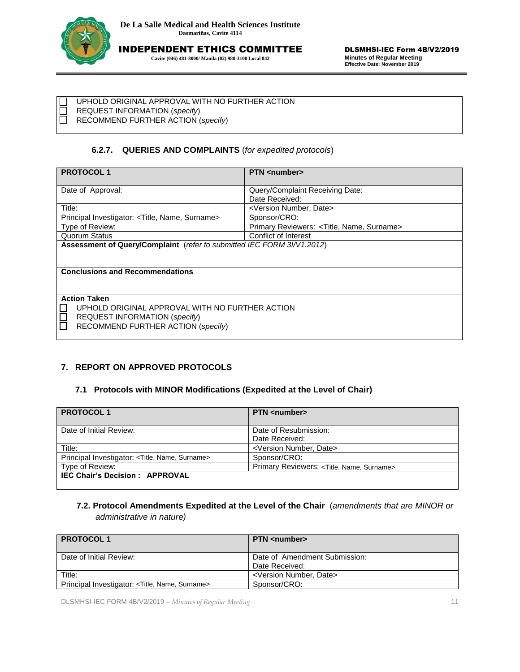

**Cavite (046) 481-8000/ Manila (02) 988-3100 Local 842**

UPHOLD ORIGINAL APPROVAL WITH NO FURTHER ACTION

REQUEST INFORMATION (*specify*) RECOMMEND FURTHER ACTION (*specify*)

# **6.2.7. QUERIES AND COMPLAINTS** (*for expedited protocols*)

| <b>PROTOCOL1</b>                                                       | <b>PTN</b> <number></number>               |  |  |  |
|------------------------------------------------------------------------|--------------------------------------------|--|--|--|
|                                                                        |                                            |  |  |  |
| Date of Approval:                                                      | Query/Complaint Receiving Date:            |  |  |  |
|                                                                        | Date Received:                             |  |  |  |
| Title:                                                                 | <version date="" number,=""></version>     |  |  |  |
| Principal Investigator: <title, name,="" surname=""></title,>          | Sponsor/CRO:                               |  |  |  |
| Type of Review:                                                        | Primary Reviewers: < Title, Name, Surname> |  |  |  |
| Quorum Status                                                          | Conflict of Interest                       |  |  |  |
| Assessment of Query/Complaint (refer to submitted IEC FORM 3I/V1.2012) |                                            |  |  |  |
|                                                                        |                                            |  |  |  |
|                                                                        |                                            |  |  |  |
| <b>Conclusions and Recommendations</b>                                 |                                            |  |  |  |
|                                                                        |                                            |  |  |  |
|                                                                        |                                            |  |  |  |
| <b>Action Taken</b>                                                    |                                            |  |  |  |
| UPHOLD ORIGINAL APPROVAL WITH NO FURTHER ACTION                        |                                            |  |  |  |
| <b>REQUEST INFORMATION (specify)</b>                                   |                                            |  |  |  |
| RECOMMEND FURTHER ACTION (specify)                                     |                                            |  |  |  |
|                                                                        |                                            |  |  |  |
|                                                                        |                                            |  |  |  |

# **7. REPORT ON APPROVED PROTOCOLS**

# **7.1 Protocols with MINOR Modifications (Expedited at the Level of Chair)**

| <b>PROTOCOL1</b>                                | <b>PTN</b> <number></number>                             |
|-------------------------------------------------|----------------------------------------------------------|
| Date of Initial Review:                         | Date of Resubmission:                                    |
|                                                 | Date Received:                                           |
| Title:                                          | <version date="" number,=""></version>                   |
| Principal Investigator: < Title, Name, Surname> | Sponsor/CRO:                                             |
| Type of Review:                                 | Primary Reviewers: <title, name,="" surname=""></title,> |
| <b>IEC Chair's Decision: APPROVAL</b>           |                                                          |

# **7.2. Protocol Amendments Expedited at the Level of the Chair** (*amendments that are MINOR or administrative in nature)*

| <b>PROTOCOL1</b>                                              | <b>PTN</b> <number></number>                    |
|---------------------------------------------------------------|-------------------------------------------------|
| Date of Initial Review:                                       | Date of Amendment Submission:<br>Date Received: |
| Title:                                                        | <version date="" number,=""></version>          |
| Principal Investigator: <title, name,="" surname=""></title,> | Sponsor/CRO:                                    |